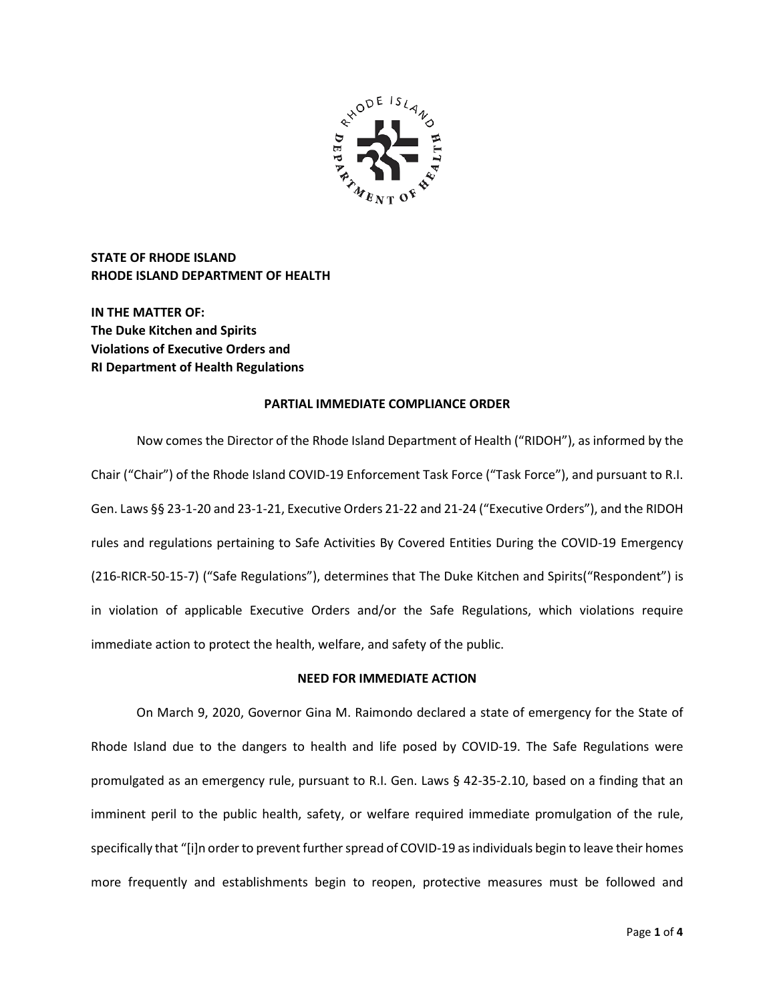

**STATE OF RHODE ISLAND RHODE ISLAND DEPARTMENT OF HEALTH**

**IN THE MATTER OF: The Duke Kitchen and Spirits Violations of Executive Orders and RI Department of Health Regulations**

### **PARTIAL IMMEDIATE COMPLIANCE ORDER**

Now comes the Director of the Rhode Island Department of Health ("RIDOH"), as informed by the Chair ("Chair") of the Rhode Island COVID-19 Enforcement Task Force ("Task Force"), and pursuant to R.I. Gen. Laws §§ 23-1-20 and 23-1-21, Executive Orders 21-22 and 21-24 ("Executive Orders"), and the RIDOH rules and regulations pertaining to Safe Activities By Covered Entities During the COVID-19 Emergency (216-RICR-50-15-7) ("Safe Regulations"), determines that The Duke Kitchen and Spirits("Respondent") is in violation of applicable Executive Orders and/or the Safe Regulations, which violations require immediate action to protect the health, welfare, and safety of the public.

# **NEED FOR IMMEDIATE ACTION**

On March 9, 2020, Governor Gina M. Raimondo declared a state of emergency for the State of Rhode Island due to the dangers to health and life posed by COVID-19. The Safe Regulations were promulgated as an emergency rule, pursuant to R.I. Gen. Laws § 42-35-2.10, based on a finding that an imminent peril to the public health, safety, or welfare required immediate promulgation of the rule, specifically that "[i]n order to prevent further spread of COVID-19 as individuals begin to leave their homes more frequently and establishments begin to reopen, protective measures must be followed and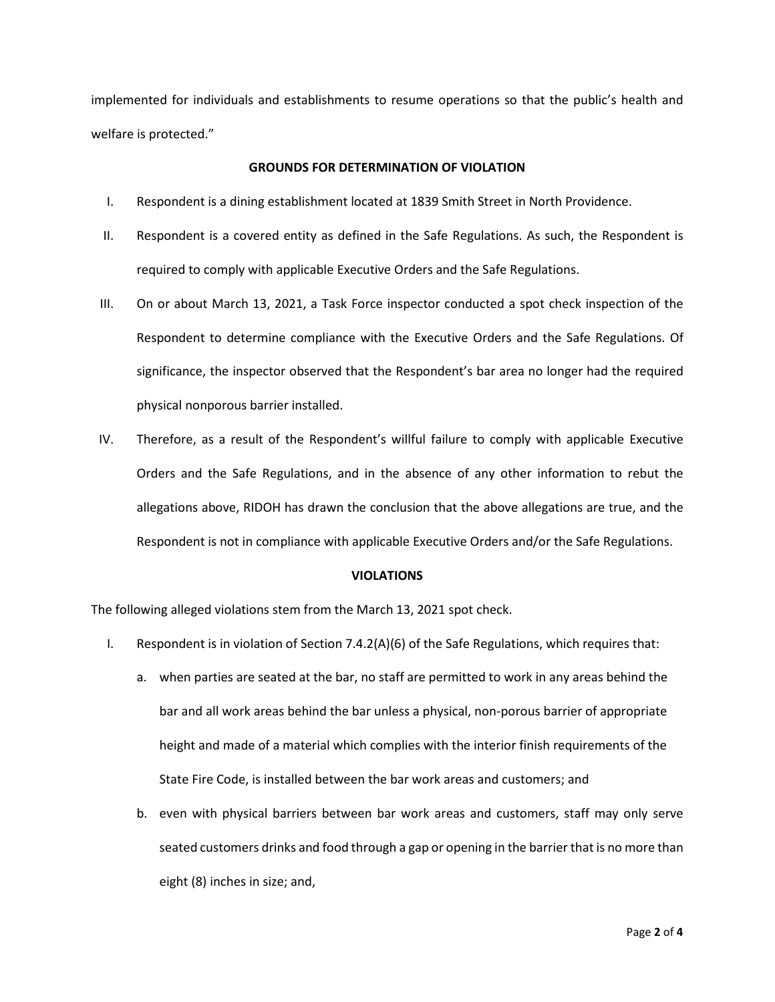implemented for individuals and establishments to resume operations so that the public's health and welfare is protected."

# **GROUNDS FOR DETERMINATION OF VIOLATION**

- I. Respondent is a dining establishment located at 1839 Smith Street in North Providence.
- II. Respondent is a covered entity as defined in the Safe Regulations. As such, the Respondent is required to comply with applicable Executive Orders and the Safe Regulations.
- III. On or about March 13, 2021, a Task Force inspector conducted a spot check inspection of the Respondent to determine compliance with the Executive Orders and the Safe Regulations. Of significance, the inspector observed that the Respondent's bar area no longer had the required physical nonporous barrier installed.
- IV. Therefore, as a result of the Respondent's willful failure to comply with applicable Executive Orders and the Safe Regulations, and in the absence of any other information to rebut the allegations above, RIDOH has drawn the conclusion that the above allegations are true, and the Respondent is not in compliance with applicable Executive Orders and/or the Safe Regulations.

# **VIOLATIONS**

The following alleged violations stem from the March 13, 2021 spot check.

- I. Respondent is in violation of Section 7.4.2(A)(6) of the Safe Regulations, which requires that:
	- a. when parties are seated at the bar, no staff are permitted to work in any areas behind the bar and all work areas behind the bar unless a physical, non-porous barrier of appropriate height and made of a material which complies with the interior finish requirements of the State Fire Code, is installed between the bar work areas and customers; and
	- b. even with physical barriers between bar work areas and customers, staff may only serve seated customers drinks and food through a gap or opening in the barrier that is no more than eight (8) inches in size; and,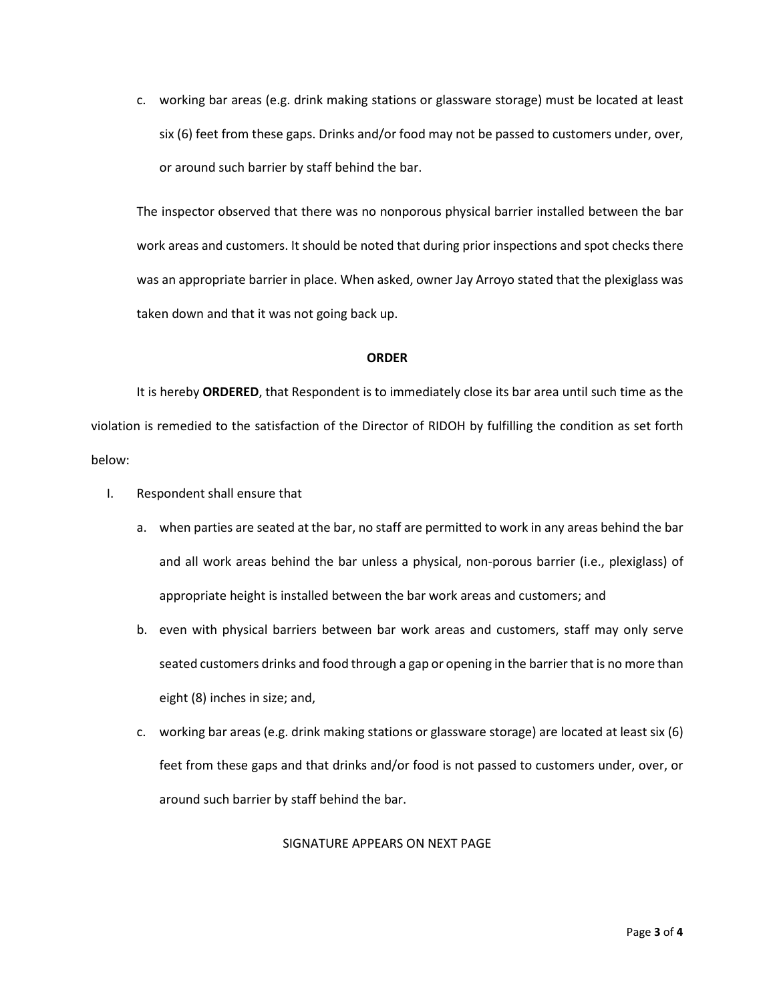c. working bar areas (e.g. drink making stations or glassware storage) must be located at least six (6) feet from these gaps. Drinks and/or food may not be passed to customers under, over, or around such barrier by staff behind the bar.

The inspector observed that there was no nonporous physical barrier installed between the bar work areas and customers. It should be noted that during prior inspections and spot checks there was an appropriate barrier in place. When asked, owner Jay Arroyo stated that the plexiglass was taken down and that it was not going back up.

### **ORDER**

It is hereby **ORDERED**, that Respondent is to immediately close its bar area until such time as the violation is remedied to the satisfaction of the Director of RIDOH by fulfilling the condition as set forth below:

- I. Respondent shall ensure that
	- a. when parties are seated at the bar, no staff are permitted to work in any areas behind the bar and all work areas behind the bar unless a physical, non-porous barrier (i.e., plexiglass) of appropriate height is installed between the bar work areas and customers; and
	- b. even with physical barriers between bar work areas and customers, staff may only serve seated customers drinks and food through a gap or opening in the barrier that is no more than eight (8) inches in size; and,
	- c. working bar areas (e.g. drink making stations or glassware storage) are located at least six (6) feet from these gaps and that drinks and/or food is not passed to customers under, over, or around such barrier by staff behind the bar.

# SIGNATURE APPEARS ON NEXT PAGE